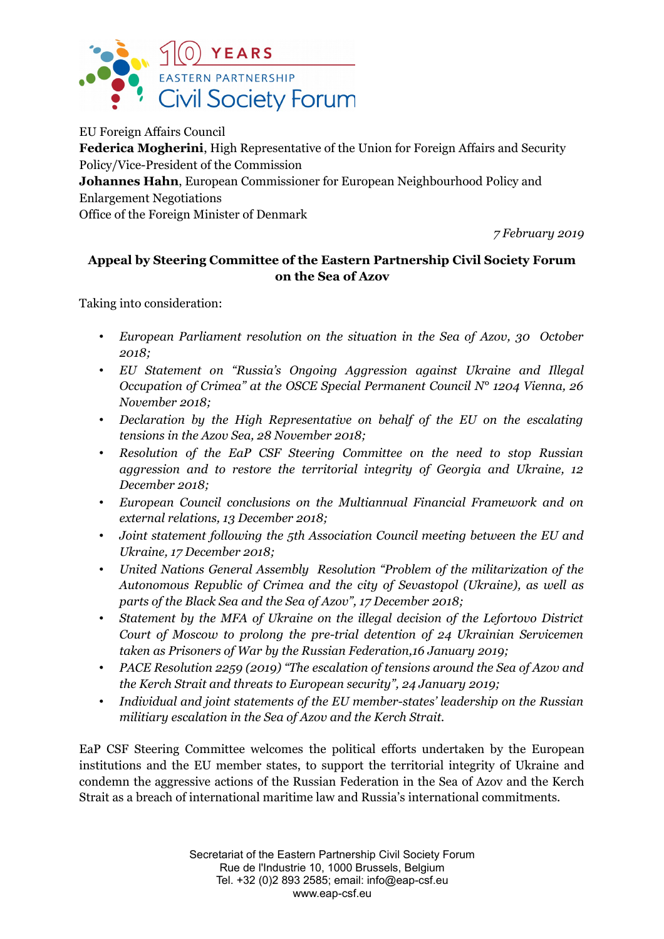

EU Foreign Affairs Council **Federica Mogherini**, High Representative of the Union for Foreign Affairs and Security Policy/Vice-President of the Commission **Johannes Hahn**, European Commissioner for European Neighbourhood Policy and Enlargement Negotiations Office of the Foreign Minister of Denmark

*7 February 2019*

## **Appeal by Steering Committee of the Eastern Partnership Civil Society Forum on the Sea of Azov**

Taking into consideration:

- *European Parliament resolution on the situation in the Sea of Azov, 30 October 2018;*
- *EU Statement on "Russia's Ongoing Aggression against Ukraine and Illegal Occupation of Crimea" at the OSCE Special Permanent Council N° 1204 Vienna, 26 November 2018;*
- *Declaration by the High Representative on behalf of the EU on the escalating tensions in the Azov Sea, 28 November 2018;*
- *Resolution of the EaP CSF Steering Committee on the need to stop Russian aggression and to restore the territorial integrity of Georgia and Ukraine, 12 December 2018;*
- *European Council conclusions on the Multiannual Financial Framework and on external relations, 13 December 2018;*
- *Joint statement following the 5th Association Council meeting between the EU and Ukraine, 17 December 2018;*
- *United Nations General Assembly Resolution "Problem of the militarization of the Autonomous Republic of Crimea and the city of Sevastopol (Ukraine), as well as parts of the Black Sea and the Sea of Azov", 17 December 2018;*
- *Statement by the MFA of Ukraine on the illegal decision of the Lefortovo District Court of Moscow to prolong the pre-trial detention of 24 Ukrainian Servicemen taken as Prisoners of War by the Russian Federation,16 January 2019;*
- *PACE Resolution 2259 (2019) "The escalation of tensions around the Sea of Azov and the Kerch Strait and threats to European security", 24 January 2019;*
- *Individual and joint statements of the EU member-states' leadership on the Russian militiary escalation in the Sea of Azov and the Kerch Strait.*

EaP CSF Steering Committee welcomes the political efforts undertaken by the European institutions and the EU member states, to support the territorial integrity of Ukraine and condemn the aggressive actions of the Russian Federation in the Sea of Azov and the Kerch Strait as a breach of international maritime law and Russia's international commitments.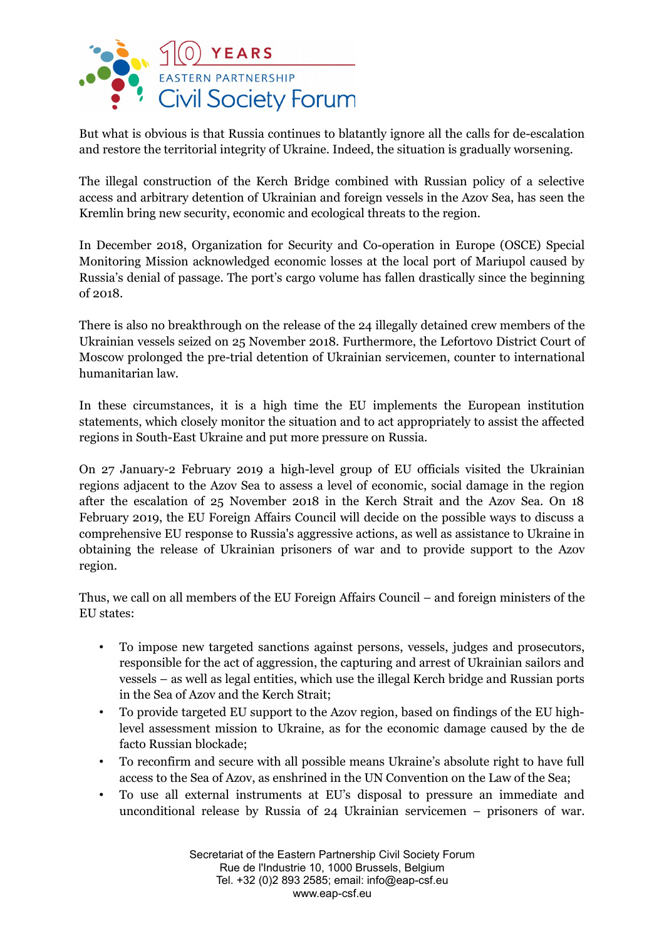

But what is obvious is that Russia continues to blatantly ignore all the calls for de-escalation and restore the territorial integrity of Ukraine. Indeed, the situation is gradually worsening.

The illegal construction of the Kerch Bridge combined with Russian policy of a selective access and arbitrary detention of Ukrainian and foreign vessels in the Azov Sea, has seen the Kremlin bring new security, economic and ecological threats to the region.

In December 2018, Organization for Security and Co-operation in Europe (OSCE) Special Monitoring Mission acknowledged economic losses at the local port of Mariupol caused by Russia's denial of passage. The port's cargo volume has fallen drastically since the beginning of 2018.

There is also no breakthrough on the release of the 24 illegally detained crew members of the Ukrainian vessels seized on 25 November 2018. Furthermore, the Lefortovo District Court of Moscow prolonged the pre-trial detention of Ukrainian servicemen, counter to international humanitarian law.

In these circumstances, it is a high time the EU implements the European institution statements, which closely monitor the situation and to act appropriately to assist the affected regions in South-East Ukraine and put more pressure on Russia.

On 27 January-2 February 2019 a high-level group of EU officials visited the Ukrainian regions adjacent to the Azov Sea to assess a level of economic, social damage in the region after the escalation of 25 November 2018 in the Kerch Strait and the Azov Sea. On 18 February 2019, the EU Foreign Affairs Council will decide on the possible ways to discuss a comprehensive EU response to Russia's aggressive actions, as well as assistance to Ukraine in obtaining the release of Ukrainian prisoners of war and to provide support to the Azov region.

Thus, we call on all members of the EU Foreign Affairs Council – and foreign ministers of the EU states:

- To impose new targeted sanctions against persons, vessels, judges and prosecutors, responsible for the act of aggression, the capturing and arrest of Ukrainian sailors and vessels – as well as legal entities, which use the illegal Kerch bridge and Russian ports in the Sea of Azov and the Kerch Strait;
- To provide targeted EU support to the Azov region, based on findings of the EU highlevel assessment mission to Ukraine, as for the economic damage caused by the de facto Russian blockade;
- To reconfirm and secure with all possible means Ukraine's absolute right to have full access to the Sea of Azov, as enshrined in the UN Convention on the Law of the Sea;
- To use all external instruments at EU's disposal to pressure an immediate and unconditional release by Russia of 24 Ukrainian servicemen – prisoners of war.